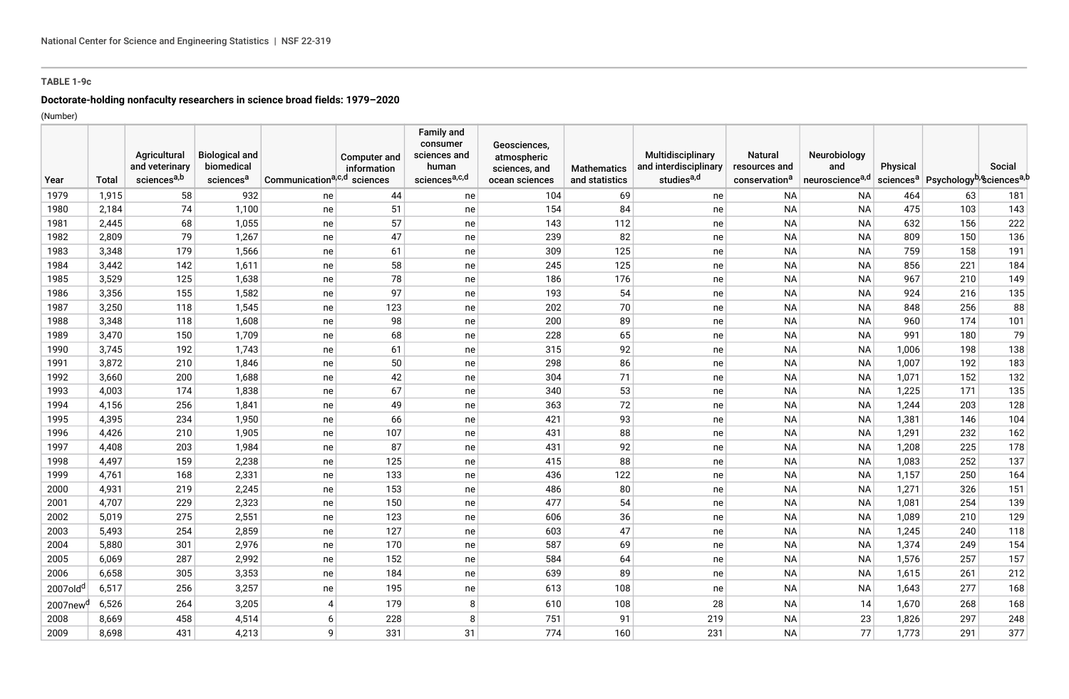# **TABLE 1-9c**

# **Doctorate-holding nonfaculty researchers in science broad fields: 1979–2020**

(Number)

|                      |       | Agricultural            | <b>Biological and</b> |                                         | Computer and | <b>Family and</b><br>consumer<br>sciences and | Geosciences,<br>atmospheric |                    | Multidisciplinary      | <b>Natural</b>            | Neurobiology                |          |                                                                         |        |
|----------------------|-------|-------------------------|-----------------------|-----------------------------------------|--------------|-----------------------------------------------|-----------------------------|--------------------|------------------------|---------------------------|-----------------------------|----------|-------------------------------------------------------------------------|--------|
|                      |       | and veterinary          | biomedical            |                                         | information  | human                                         | sciences, and               | <b>Mathematics</b> | and interdisciplinary  | resources and             | and                         | Physical |                                                                         | Social |
| Year                 | Total | sciences <sup>a,b</sup> | sciences <sup>a</sup> | Communication <sup>a,c,d</sup> sciences |              | sciencesa,c,d                                 | ocean sciences              | and statistics     | studies <sup>a,d</sup> | conservation <sup>a</sup> | neuroscience <sup>a,d</sup> |          | sciences <sup>a</sup> Psychology <sup>b</sup> , Sciences <sup>a,b</sup> |        |
| 1979                 | 1,915 | 58                      | 932                   | ne                                      | 44           | ne                                            | 104                         | 69                 | ne                     | NA                        | <b>NA</b>                   | 464      | 63                                                                      | 181    |
| 1980                 | 2,184 | 74                      | 1,100                 | ne                                      | 51           | ne                                            | 154                         | 84                 | ne                     | <b>NA</b>                 | <b>NA</b>                   | 475      | 103                                                                     | 143    |
| 1981                 | 2,445 | 68                      | 1,055                 | ne                                      | 57           | ne                                            | 143                         | 112                | ne                     | <b>NA</b>                 | <b>NA</b>                   | 632      | 156                                                                     | 222    |
| 1982                 | 2,809 | 79                      | 1,267                 | ne                                      | 47           | ne                                            | 239                         | 82                 | ne                     | <b>NA</b>                 | <b>NA</b>                   | 809      | 150                                                                     | 136    |
| 1983                 | 3,348 | 179                     | 1,566                 | ne                                      | 61           | ne                                            | 309                         | 125                | ne                     | <b>NA</b>                 | <b>NA</b>                   | 759      | 158                                                                     | 191    |
| 1984                 | 3,442 | 142                     | 1,611                 | ne                                      | 58           | ne                                            | 245                         | 125                | ne                     | <b>NA</b>                 | <b>NA</b>                   | 856      | 221                                                                     | 184    |
| 1985                 | 3,529 | 125                     | 1,638                 | ne                                      | 78           | ne                                            | 186                         | 176                | ne                     | <b>NA</b>                 | <b>NA</b>                   | 967      | 210                                                                     | 149    |
| 1986                 | 3,356 | 155                     | 1,582                 | ne                                      | 97           | ne                                            | 193                         | 54                 | ne                     | <b>NA</b>                 | <b>NA</b>                   | 924      | 216                                                                     | 135    |
| 1987                 | 3,250 | 118                     | 1,545                 | ne                                      | 123          | ne                                            | 202                         | 70                 | ne                     | <b>NA</b>                 | <b>NA</b>                   | 848      | 256                                                                     | 88     |
| 1988                 | 3,348 | 118                     | 1,608                 | ne                                      | 98           | ne                                            | 200                         | 89                 | ne                     | <b>NA</b>                 | <b>NA</b>                   | 960      | 174                                                                     | 101    |
| 1989                 | 3,470 | 150                     | 1,709                 | ne                                      | 68           | ne                                            | 228                         | 65                 | ne                     | <b>NA</b>                 | <b>NA</b>                   | 991      | 180                                                                     | 79     |
| 1990                 | 3,745 | 192                     | 1,743                 | ne                                      | 61           | ne                                            | 315                         | 92                 | ne                     | <b>NA</b>                 | <b>NA</b>                   | 1,006    | 198                                                                     | 138    |
| 1991                 | 3,872 | 210                     | 1,846                 | ne                                      | 50           | ne                                            | 298                         | 86                 | ne                     | <b>NA</b>                 | <b>NA</b>                   | 1,007    | 192                                                                     | 183    |
| 1992                 | 3,660 | 200                     | 1,688                 | ne                                      | 42           | ne                                            | 304                         | 71                 | ne                     | <b>NA</b>                 | <b>NA</b>                   | 1,071    | 152                                                                     | 132    |
| 1993                 | 4,003 | 174                     | 1,838                 | ne                                      | 67           | ne                                            | 340                         | 53                 | ne                     | <b>NA</b>                 | <b>NA</b>                   | 1,225    | 171                                                                     | 135    |
| 1994                 | 4,156 | 256                     | 1,841                 | ne                                      | 49           | ne                                            | 363                         | 72                 | ne                     | <b>NA</b>                 | <b>NA</b>                   | 1,244    | 203                                                                     | 128    |
| 1995                 | 4,395 | 234                     | 1,950                 | ne                                      | 66           | ne                                            | 421                         | 93                 | ne                     | <b>NA</b>                 | <b>NA</b>                   | 1,381    | 146                                                                     | 104    |
| 1996                 | 4,426 | 210                     | 1,905                 | ne                                      | 107          | ne                                            | 431                         | 88                 | ne                     | <b>NA</b>                 | <b>NA</b>                   | 1,291    | 232                                                                     | 162    |
| 1997                 | 4,408 | 203                     | 1,984                 | ne                                      | 87           | ne                                            | 431                         | 92                 | ne                     | <b>NA</b>                 | <b>NA</b>                   | 1,208    | 225                                                                     | 178    |
| 1998                 | 4,497 | 159                     | 2,238                 | ne                                      | 125          | ne                                            | 415                         | 88                 | ne                     | <b>NA</b>                 | <b>NA</b>                   | 1,083    | 252                                                                     | 137    |
| 1999                 | 4,761 | 168                     | 2,331                 | ne                                      | 133          | ne                                            | 436                         | 122                | ne                     | <b>NA</b>                 | <b>NA</b>                   | 1,157    | 250                                                                     | 164    |
| 2000                 | 4,931 | 219                     | 2,245                 | ne                                      | 153          | ne                                            | 486                         | 80                 | ne                     | <b>NA</b>                 | <b>NA</b>                   | 1,271    | 326                                                                     | 151    |
| 2001                 | 4,707 | 229                     | 2,323                 | ne                                      | 150          | ne                                            | 477                         | 54                 | ne                     | <b>NA</b>                 | <b>NA</b>                   | 1,081    | 254                                                                     | 139    |
| 2002                 | 5,019 | 275                     | 2,551                 | ne                                      | 123          | ne                                            | 606                         | 36                 | ne                     | <b>NA</b>                 | <b>NA</b>                   | 1,089    | 210                                                                     | 129    |
| 2003                 | 5,493 | 254                     | 2,859                 | ne                                      | 127          | ne                                            | 603                         | 47                 | ne                     | <b>NA</b>                 | <b>NA</b>                   | 1,245    | 240                                                                     | 118    |
| 2004                 | 5,880 | 301                     | 2,976                 | ne                                      | 170          | ne                                            | 587                         | 69                 | ne                     | <b>NA</b>                 | <b>NA</b>                   | 1,374    | 249                                                                     | 154    |
| 2005                 | 6,069 | 287                     | 2,992                 | ne                                      | 152          | ne                                            | 584                         | 64                 | ne                     | <b>NA</b>                 | <b>NA</b>                   | 1,576    | 257                                                                     | 157    |
| 2006                 | 6,658 | 305                     | 3,353                 | ne                                      | 184          | ne                                            | 639                         | 89                 | ne                     | <b>NA</b>                 | <b>NA</b>                   | 1,615    | 261                                                                     | 212    |
| 2007old <sup>d</sup> | 6,517 | 256                     | 3,257                 | ne                                      | 195          | ne                                            | 613                         | 108                | ne                     | <b>NA</b>                 | <b>NA</b>                   | 1,643    | 277                                                                     | 168    |
| 2007new <sup>q</sup> | 6,526 | 264                     | 3,205                 | $\overline{4}$                          | 179          | 8                                             | 610                         | 108                | 28                     | <b>NA</b>                 | 14                          | 1,670    | 268                                                                     | 168    |
| 2008                 | 8,669 | 458                     | 4,514                 | 6                                       | 228          | 8                                             | 751                         | 91                 | 219                    | <b>NA</b>                 | 23                          | 1,826    | 297                                                                     | 248    |
| 2009                 | 8,698 | 431                     | 4,213                 | 9                                       | 331          | 31                                            | 774                         | 160                | 231                    | <b>NA</b>                 | 77                          | 1,773    | 291                                                                     | 377    |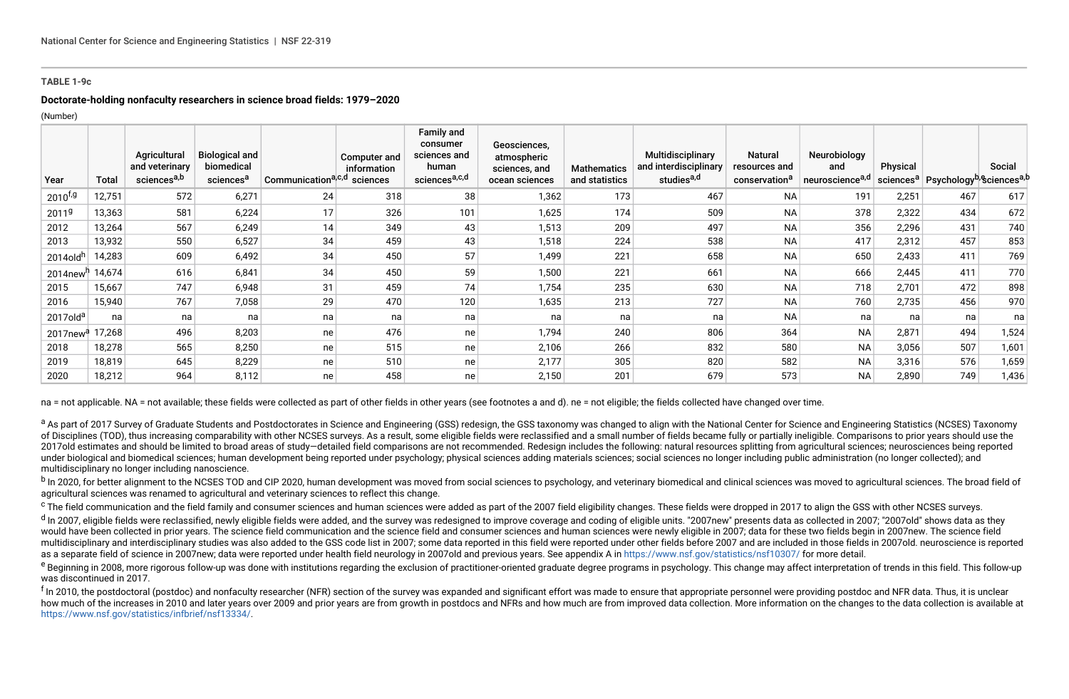### **TABLE 1-9c**

## **Doctorate-holding nonfaculty researchers in science broad fields: 1979–2020**

(Number)

| Year                 | Total  | Agricultural<br>and veterinary<br>sciences <sup>a,b</sup> | <b>Biological and</b><br>biomedical<br>sciences <sup>a</sup> | Communicationa <sub>c,d</sub> | Computer and<br>information<br>sciences | <b>Family and</b><br>consumer<br>sciences and<br>human<br>sciences <sup>a,c,d</sup> | Geosciences,<br>atmospheric<br>sciences, and<br>ocean sciences | <b>Mathematics</b><br>and statistics | Multidisciplinary<br>and interdisciplinary<br>studies <sup>a,d</sup> | <b>Natural</b><br>resources and<br>conservation <sup>a</sup> | Neurobiology<br>and<br>neuroscience <sup>a,d</sup> | Physical | sciences <sup>a</sup> Psychology <sup>b, e</sup> sciences <sup>a, b</sup> | Social |
|----------------------|--------|-----------------------------------------------------------|--------------------------------------------------------------|-------------------------------|-----------------------------------------|-------------------------------------------------------------------------------------|----------------------------------------------------------------|--------------------------------------|----------------------------------------------------------------------|--------------------------------------------------------------|----------------------------------------------------|----------|---------------------------------------------------------------------------|--------|
| $2010^{f,g}$         | 12,751 | 572                                                       | 6,271                                                        | 24 <sub>1</sub>               | 318                                     | 38                                                                                  | 1,362                                                          | 173                                  | 467                                                                  | NA                                                           | 191                                                | 2,251    | 467                                                                       | 617    |
| 2011 <sup>g</sup>    | 13,363 | 581                                                       | 6,224                                                        | 17                            | 326                                     | 101                                                                                 | 1,625                                                          | 174                                  | 509                                                                  | <b>NA</b>                                                    | 378                                                | 2,322    | 434                                                                       | 672    |
| 2012                 | 13,264 | 567                                                       | 6,249                                                        | 14                            | 349                                     | 43                                                                                  | 1,513                                                          | 209                                  | 497                                                                  | <b>NA</b>                                                    | 356                                                | 2,296    | 431                                                                       | 740    |
| 2013                 | 13,932 | 550                                                       | 6,527                                                        | 34                            | 459                                     | 43                                                                                  | 1,518                                                          | 224                                  | 538                                                                  | <b>NA</b>                                                    | 417                                                | 2,312    | 457                                                                       | 853    |
| 2014old <sup>h</sup> | 14,283 | 609                                                       | 6,492                                                        | 34                            | 450                                     | 57                                                                                  | 1,499                                                          | 221                                  | 658                                                                  | <b>NA</b>                                                    | 650                                                | 2,433    | 411                                                                       | 769    |
| 2014new <sup>h</sup> | 14,674 | 616                                                       | 6,841                                                        | 34 <sub>1</sub>               | 450                                     | 59                                                                                  | 1,500                                                          | 221                                  | 661                                                                  | <b>NA</b>                                                    | 666                                                | 2,445    | 411                                                                       | 770    |
| 2015                 | 15,667 | 747                                                       | 6,948                                                        | 31                            | 459                                     | 74                                                                                  | 1,754                                                          | 235                                  | 630                                                                  | <b>NA</b>                                                    | 718                                                | 2,701    | 472                                                                       | 898    |
| 2016                 | 15,940 | 767                                                       | 7,058                                                        | 29                            | 470                                     | 120                                                                                 | 1,635                                                          | 213                                  | 727                                                                  | <b>NA</b>                                                    | 760                                                | 2,735    | 456                                                                       | 970    |
| 2017old <sup>a</sup> | na     | na                                                        | na                                                           | na                            | na                                      | na                                                                                  | na                                                             | na                                   | na                                                                   | <b>NA</b>                                                    | na                                                 | na       | na                                                                        | na     |
| 2017new <sup>a</sup> | 17,268 | 496                                                       | 8,203                                                        | ne                            | 476                                     | ne                                                                                  | 1,794                                                          | 240                                  | 806                                                                  | 364                                                          | <b>NA</b>                                          | 2,871    | 494                                                                       | 1,524  |
| 2018                 | 18,278 | 565                                                       | 8,250                                                        | ne                            | 515                                     | ne                                                                                  | 2,106                                                          | 266                                  | 832                                                                  | 580                                                          | <b>NA</b>                                          | 3,056    | 507                                                                       | 1,601  |
| 2019                 | 18,819 | 645                                                       | 8,229                                                        | ne                            | 510                                     | ne                                                                                  | 2,177                                                          | 305                                  | 820                                                                  | 582                                                          | <b>NA</b>                                          | 3,316    | 576                                                                       | 1,659  |
| 2020                 | 18,212 | 964                                                       | 8,112                                                        | ne                            | 458                                     | ne                                                                                  | 2,150                                                          | 201                                  | 679                                                                  | 573                                                          | <b>NA</b>                                          | 2,890    | 749                                                                       | 1,436  |

na = not applicable. NA = not available; these fields were collected as part of other fields in other years (see footnotes a and d), ne = not eligible; the fields collected have changed over time.

a As part of 2017 Survey of Graduate Students and Postdoctorates in Science and Engineering (GSS) redesign, the GSS taxonomy was changed to align with the National Center for Science and Engineering Statistics (NCSES) Taxo of Disciplines (TOD), thus increasing comparability with other NCSES surveys. As a result, some eligible fields were reclassified and a small number of fields became fully or partially ineligible. Comparisons to prior year 2017old estimates and should be limited to broad areas of study-detailed field comparisons are not recommended. Redesign includes the following: natural resources splitting from agricultural sciences; neurosciences being r under biological and biomedical sciences; human development being reported under psychology; physical sciences adding materials sciences; social sciences no longer including public administration (no longer collected); and multidisciplinary no longer including nanoscience.

<sup>b</sup> In 2020. for better alianment to the NCSES TOD and CIP 2020, human development was moved from social sciences to psychology, and veterinary biomedical and clinical sciences was moved to agricultural sciences. The broad agricultural sciences was renamed to agricultural and veterinary sciences to reflect this change.

<sup>c</sup> The field communication and the field family and consumer sciences and human sciences were added as part of the 2007 field eligibility changes. These fields were dropped in 2017 to align the GSS with other NCSES survey

<sup>d</sup> In 2007, eligible fields were reclassified, newly eligible fields were added, and the survey was redesigned to improve coverage and coding of eligible units. "2007new" presents data as collected in 2007; "2007old" show would have been collected in prior years. The science field communication and the science field and consumer sciences and human sciences were newly eligible in 2007; data for these two fields begin in 2007new. The science multidisciplinary and interdisciplinary studies was also added to the GSS code list in 2007; some data reported in this field were reported under other fields before 2007 and are included in those fields in 2007old, neuros as a separate field of science in 2007new; data were reported under health field neurology in 2007old and previous years. See appendix A in<https://www.nsf.gov/statistics/nsf10307/> for more detail.

<sup>e</sup> Beginning in 2008, more rigorous follow-up was done with institutions regarding the exclusion of practitioner-oriented graduate degree programs in psychology. This change may affect interpretation of trends in this fie was discontinued in 2017.

<sup>f</sup> In 2010. the postdoctoral (postdoc) and nonfaculty researcher (NFR) section of the survey was expanded and significant effort was made to ensure that appropriate personnel were providing postdoc and NFR data. Thus, it how much of the increases in 2010 and later vears over 2009 and prior vears are from growth in postdocs and NFRs and how much are from improved data collection. More information on the changes to the data collection is ava [https://www.nsf.gov/statistics/infbrief/nsf13334/.](https://www.nsf.gov/statistics/infbrief/nsf13334/)